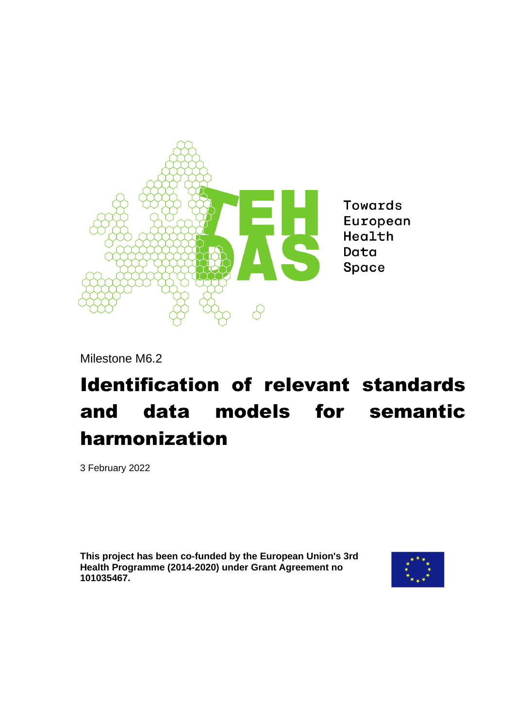

Towards European Health Data Space

Milestone M6.2

# Identification of relevant standards and data models for semantic harmonization

3 February 2022

**This project has been co-funded by the European Union's 3rd Health Programme (2014-2020) under Grant Agreement no 101035467.**

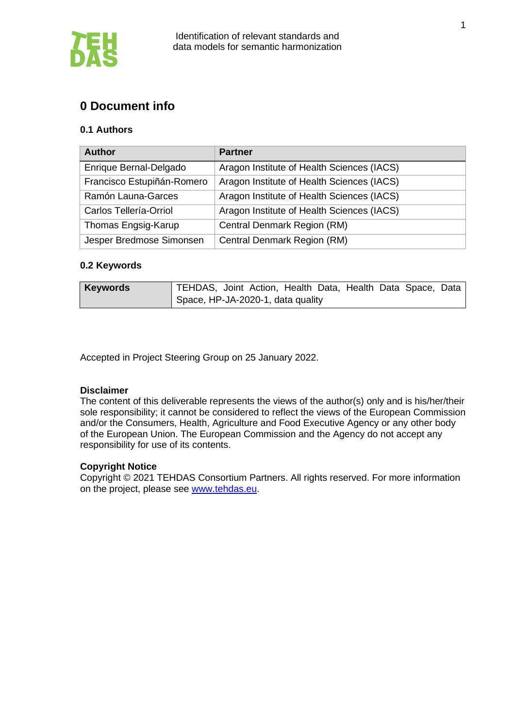

# **0 Document info**

## **0.1 Authors**

| <b>Author</b>              | <b>Partner</b>                             |
|----------------------------|--------------------------------------------|
| Enrique Bernal-Delgado     | Aragon Institute of Health Sciences (IACS) |
| Francisco Estupiñán-Romero | Aragon Institute of Health Sciences (IACS) |
| Ramón Launa-Garces         | Aragon Institute of Health Sciences (IACS) |
| Carlos Tellería-Orriol     | Aragon Institute of Health Sciences (IACS) |
| Thomas Engsig-Karup        | Central Denmark Region (RM)                |
| Jesper Bredmose Simonsen   | Central Denmark Region (RM)                |

## **0.2 Keywords**

| <b>Keywords</b> | TEHDAS, Joint Action, Health Data, Health Data Space, Data |  |  |  |  |
|-----------------|------------------------------------------------------------|--|--|--|--|
|                 | Space, HP-JA-2020-1, data quality                          |  |  |  |  |

Accepted in Project Steering Group on 25 January 2022.

## **Disclaimer**

The content of this deliverable represents the views of the author(s) only and is his/her/their sole responsibility; it cannot be considered to reflect the views of the European Commission and/or the Consumers, Health, Agriculture and Food Executive Agency or any other body of the European Union. The European Commission and the Agency do not accept any responsibility for use of its contents.

### **Copyright Notice**

Copyright © 2021 TEHDAS Consortium Partners. All rights reserved. For more information on the project, please see [www.tehdas.eu.](http://www.tehdas.eu/)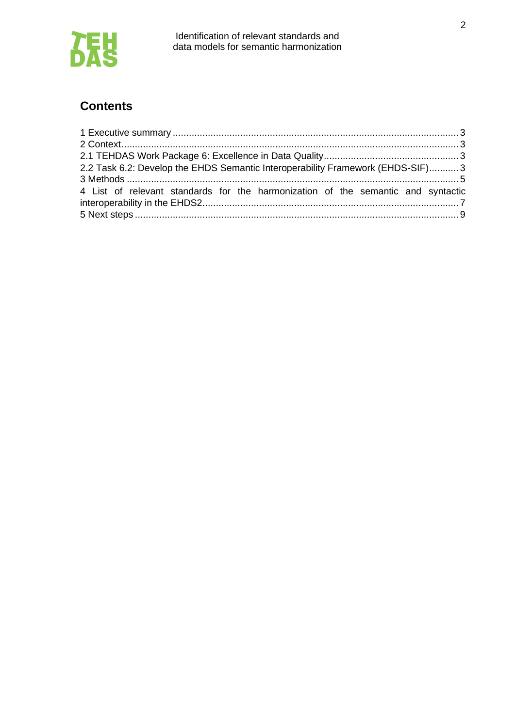

# **Contents**

| 2.2 Task 6.2: Develop the EHDS Semantic Interoperability Framework (EHDS-SIF) 3  |  |
|----------------------------------------------------------------------------------|--|
|                                                                                  |  |
| 4 List of relevant standards for the harmonization of the semantic and syntactic |  |
|                                                                                  |  |
|                                                                                  |  |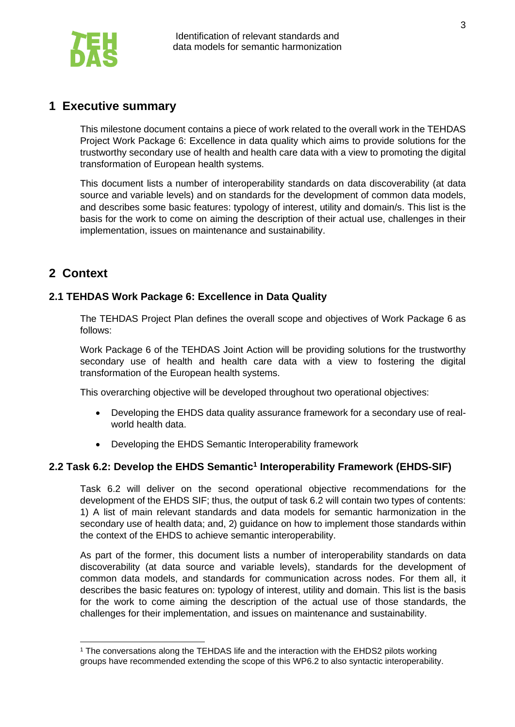

## <span id="page-3-0"></span>**1 Executive summary**

This milestone document contains a piece of work related to the overall work in the TEHDAS Project Work Package 6: Excellence in data quality which aims to provide solutions for the trustworthy secondary use of health and health care data with a view to promoting the digital transformation of European health systems.

This document lists a number of interoperability standards on data discoverability (at data source and variable levels) and on standards for the development of common data models, and describes some basic features: typology of interest, utility and domain/s. This list is the basis for the work to come on aiming the description of their actual use, challenges in their implementation, issues on maintenance and sustainability.

# <span id="page-3-1"></span>**2 Context**

## <span id="page-3-2"></span>**2.1 TEHDAS Work Package 6: Excellence in Data Quality**

The TEHDAS Project Plan defines the overall scope and objectives of Work Package 6 as follows:

Work Package 6 of the TEHDAS Joint Action will be providing solutions for the trustworthy secondary use of health and health care data with a view to fostering the digital transformation of the European health systems.

This overarching objective will be developed throughout two operational objectives:

- Developing the EHDS data quality assurance framework for a secondary use of realworld health data.
- Developing the EHDS Semantic Interoperability framework

## <span id="page-3-3"></span>**2.2 Task 6.2: Develop the EHDS Semantic<sup>1</sup> Interoperability Framework (EHDS-SIF)**

Task 6.2 will deliver on the second operational objective recommendations for the development of the EHDS SIF; thus, the output of task 6.2 will contain two types of contents: 1) A list of main relevant standards and data models for semantic harmonization in the secondary use of health data; and, 2) guidance on how to implement those standards within the context of the EHDS to achieve semantic interoperability.

As part of the former, this document lists a number of interoperability standards on data discoverability (at data source and variable levels), standards for the development of common data models, and standards for communication across nodes. For them all, it describes the basic features on: typology of interest, utility and domain. This list is the basis for the work to come aiming the description of the actual use of those standards, the challenges for their implementation, and issues on maintenance and sustainability.

<sup>&</sup>lt;sup>1</sup> The conversations along the TEHDAS life and the interaction with the EHDS2 pilots working groups have recommended extending the scope of this WP6.2 to also syntactic interoperability.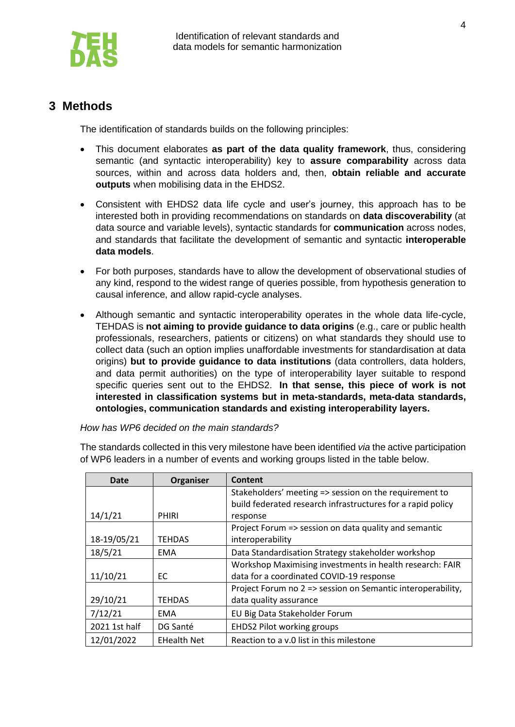

<span id="page-4-0"></span>The identification of standards builds on the following principles:

- This document elaborates **as part of the data quality framework**, thus, considering semantic (and syntactic interoperability) key to **assure comparability** across data sources, within and across data holders and, then, **obtain reliable and accurate outputs** when mobilising data in the EHDS2.
- Consistent with EHDS2 data life cycle and user's journey, this approach has to be interested both in providing recommendations on standards on **data discoverability** (at data source and variable levels), syntactic standards for **communication** across nodes, and standards that facilitate the development of semantic and syntactic **interoperable data models**.
- For both purposes, standards have to allow the development of observational studies of any kind, respond to the widest range of queries possible, from hypothesis generation to causal inference, and allow rapid-cycle analyses.
- Although semantic and syntactic interoperability operates in the whole data life-cycle, TEHDAS is **not aiming to provide guidance to data origins** (e.g., care or public health professionals, researchers, patients or citizens) on what standards they should use to collect data (such an option implies unaffordable investments for standardisation at data origins) **but to provide guidance to data institutions** (data controllers, data holders, and data permit authorities) on the type of interoperability layer suitable to respond specific queries sent out to the EHDS2. **In that sense, this piece of work is not interested in classification systems but in meta-standards, meta-data standards, ontologies, communication standards and existing interoperability layers.**

*How has WP6 decided on the main standards?*

The standards collected in this very milestone have been identified *via* the active participation of WP6 leaders in a number of events and working groups listed in the table below.

| Date          | <b>Organiser</b>   | Content                                                     |
|---------------|--------------------|-------------------------------------------------------------|
|               |                    | Stakeholders' meeting => session on the requirement to      |
|               |                    | build federated research infrastructures for a rapid policy |
| 14/1/21       | <b>PHIRI</b>       | response                                                    |
|               |                    | Project Forum => session on data quality and semantic       |
| 18-19/05/21   | <b>TEHDAS</b>      | interoperability                                            |
| 18/5/21       | EMA                | Data Standardisation Strategy stakeholder workshop          |
|               |                    | Workshop Maximising investments in health research: FAIR    |
| 11/10/21      | EC                 | data for a coordinated COVID-19 response                    |
|               |                    | Project Forum no 2 => session on Semantic interoperability, |
| 29/10/21      | <b>TEHDAS</b>      | data quality assurance                                      |
| 7/12/21       | EMA                | EU Big Data Stakeholder Forum                               |
| 2021 1st half | DG Santé           | <b>EHDS2 Pilot working groups</b>                           |
| 12/01/2022    | <b>EHealth Net</b> | Reaction to a v.0 list in this milestone                    |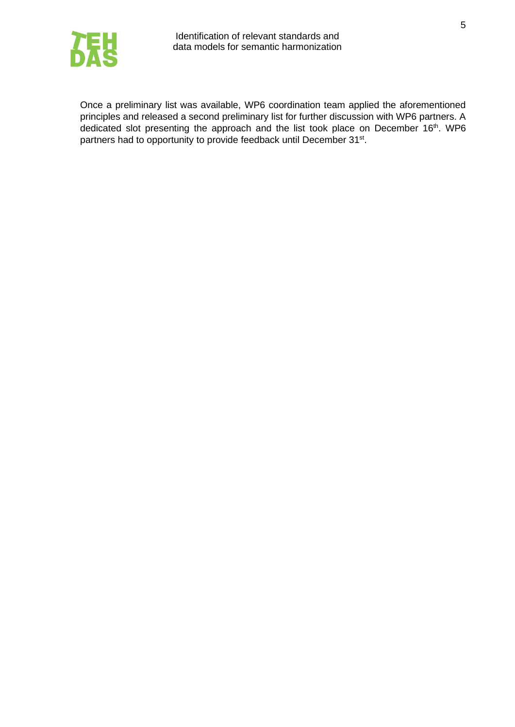

Once a preliminary list was available, WP6 coordination team applied the aforementioned principles and released a second preliminary list for further discussion with WP6 partners. A dedicated slot presenting the approach and the list took place on December 16<sup>th</sup>. WP6 partners had to opportunity to provide feedback until December 31<sup>st</sup>.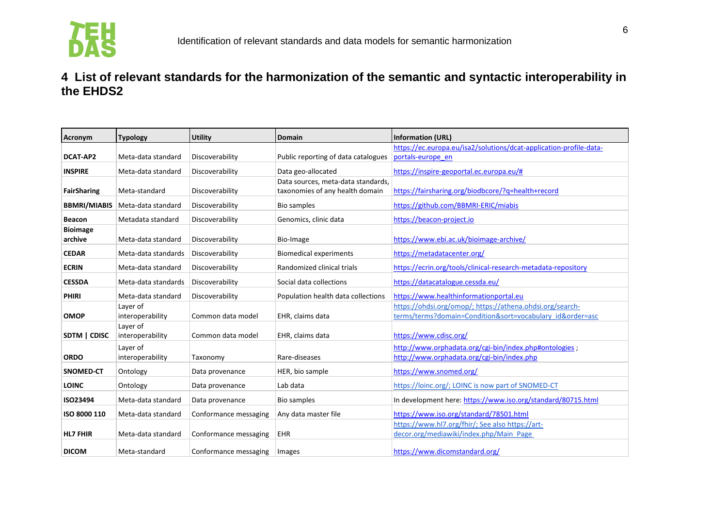

# **4 List of relevant standards for the harmonization of the semantic and syntactic interoperability in the EHDS2**

<span id="page-6-0"></span>

| Acronym            | <b>Typology</b>                        | <b>Utility</b>        | Domain                              | <b>Information (URL)</b>                                                                             |
|--------------------|----------------------------------------|-----------------------|-------------------------------------|------------------------------------------------------------------------------------------------------|
|                    |                                        |                       |                                     | https://ec.europa.eu/isa2/solutions/dcat-application-profile-data-                                   |
| DCAT-AP2           | Meta-data standard                     | Discoverability       | Public reporting of data catalogues | portals-europe en                                                                                    |
| <b>INSPIRE</b>     | Meta-data standard                     | Discoverability       | Data geo-allocated                  | https://inspire-geoportal.ec.europa.eu/#                                                             |
|                    |                                        |                       | Data sources, meta-data standards,  |                                                                                                      |
| <b>FairSharing</b> | Meta-standard                          | Discoverability       | taxonomies of any health domain     | https://fairsharing.org/biodbcore/?q=health+record                                                   |
|                    | <b>BBMRI/MIABIS</b> Meta-data standard | Discoverability       | <b>Bio samples</b>                  | https://github.com/BBMRI-ERIC/miabis                                                                 |
| <b>Beacon</b>      | Metadata standard                      | Discoverability       | Genomics, clinic data               | https://beacon-project.io                                                                            |
| <b>Bioimage</b>    |                                        |                       |                                     |                                                                                                      |
| archive            | Meta-data standard                     | Discoverability       | Bio-Image                           | https://www.ebi.ac.uk/bioimage-archive/                                                              |
| <b>CEDAR</b>       | Meta-data standards                    | Discoverability       | <b>Biomedical experiments</b>       | https://metadatacenter.org/                                                                          |
| <b>ECRIN</b>       | Meta-data standard                     | Discoverability       | Randomized clinical trials          | https://ecrin.org/tools/clinical-research-metadata-repository                                        |
| <b>CESSDA</b>      | Meta-data standards                    | Discoverability       | Social data collections             | https://datacatalogue.cessda.eu/                                                                     |
| <b>PHIRI</b>       | Meta-data standard                     | Discoverability       | Population health data collections  | https://www.healthinformationportal.eu                                                               |
|                    | Layer of                               |                       |                                     | https://ohdsi.org/omop/; https://athena.ohdsi.org/search-                                            |
| <b>OMOP</b>        | interoperability                       | Common data model     | EHR, claims data                    | terms/terms?domain=Condition&sort=vocabulary idℴ=asc                                                 |
| SDTM   CDISC       | Layer of<br>interoperability           | Common data model     | EHR, claims data                    | https://www.cdisc.org/                                                                               |
|                    |                                        |                       |                                     |                                                                                                      |
| <b>ORDO</b>        | Layer of<br>interoperability           | Taxonomy              | Rare-diseases                       | http://www.orphadata.org/cgi-bin/index.php#ontologies;<br>http://www.orphadata.org/cgi-bin/index.php |
|                    |                                        |                       |                                     |                                                                                                      |
| <b>SNOMED-CT</b>   | Ontology                               | Data provenance       | HER, bio sample                     | https://www.snomed.org/                                                                              |
| <b>LOINC</b>       | Ontology                               | Data provenance       | Lab data                            | https://loinc.org/; LOINC is now part of SNOMED-CT                                                   |
| ISO23494           | Meta-data standard                     | Data provenance       | <b>Bio samples</b>                  | In development here: https://www.iso.org/standard/80715.html                                         |
| ISO 8000 110       | Meta-data standard                     | Conformance messaging | Any data master file                | https://www.iso.org/standard/78501.html                                                              |
|                    |                                        |                       |                                     | https://www.hl7.org/fhir/; See also https://art-                                                     |
| <b>HL7 FHIR</b>    | Meta-data standard                     | Conformance messaging | EHR                                 | decor.org/mediawiki/index.php/Main Page                                                              |
| <b>DICOM</b>       | Meta-standard                          | Conformance messaging | Images                              | https://www.dicomstandard.org/                                                                       |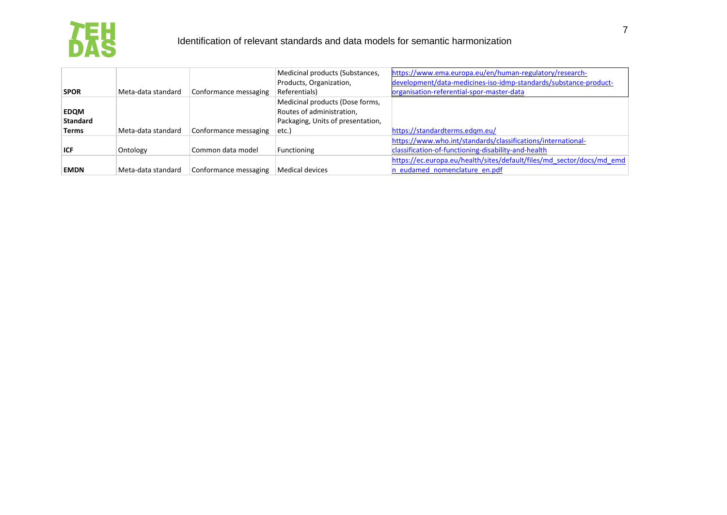

|                 |                    |                       | Medicinal products (Substances,   | https://www.ema.europa.eu/en/human-regulatory/research-               |
|-----------------|--------------------|-----------------------|-----------------------------------|-----------------------------------------------------------------------|
|                 |                    |                       | Products, Organization,           | development/data-medicines-iso-idmp-standards/substance-product-      |
| <b>SPOR</b>     | Meta-data standard | Conformance messaging | Referentials)                     | organisation-referential-spor-master-data                             |
|                 |                    |                       | Medicinal products (Dose forms,   |                                                                       |
| <b>EDQM</b>     |                    |                       | Routes of administration,         |                                                                       |
| <b>Standard</b> |                    |                       | Packaging, Units of presentation, |                                                                       |
| <b>Terms</b>    | Meta-data standard | Conformance messaging | etc.)                             | https://standardterms.edgm.eu/                                        |
|                 |                    |                       |                                   | https://www.who.int/standards/classifications/international-          |
| <b>ICF</b>      | Ontology           | Common data model     | Functioning                       | classification-of-functioning-disability-and-health                   |
|                 |                    |                       |                                   | https://ec.europa.eu/health/sites/default/files/md_sector/docs/md_emd |
| <b>EMDN</b>     | Meta-data standard | Conformance messaging | Medical devices                   | n eudamed nomenclature en.pdf                                         |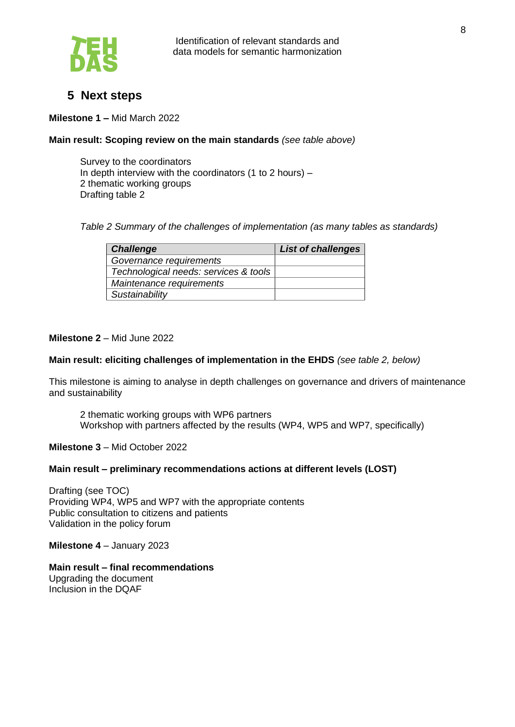

Identification of relevant standards and data models for semantic harmonization

## <span id="page-8-0"></span>**5 Next steps**

## **Milestone 1 –** Mid March 2022

## **Main result: Scoping review on the main standards** *(see table above)*

Survey to the coordinators In depth interview with the coordinators (1 to 2 hours)  $-$ 2 thematic working groups Drafting table 2

### *Table 2 Summary of the challenges of implementation (as many tables as standards)*

| <b>Challenge</b>                      | <b>List of challenges</b> |
|---------------------------------------|---------------------------|
| Governance requirements               |                           |
| Technological needs: services & tools |                           |
| Maintenance requirements              |                           |
| Sustainability                        |                           |

## **Milestone 2** – Mid June 2022

#### **Main result: eliciting challenges of implementation in the EHDS** *(see table 2, below)*

This milestone is aiming to analyse in depth challenges on governance and drivers of maintenance and sustainability

2 thematic working groups with WP6 partners Workshop with partners affected by the results (WP4, WP5 and WP7, specifically)

**Milestone 3** – Mid October 2022

### **Main result – preliminary recommendations actions at different levels (LOST)**

Drafting (see TOC) Providing WP4, WP5 and WP7 with the appropriate contents Public consultation to citizens and patients Validation in the policy forum

**Milestone 4** – January 2023

**Main result – final recommendations** Upgrading the document Inclusion in the DQAF